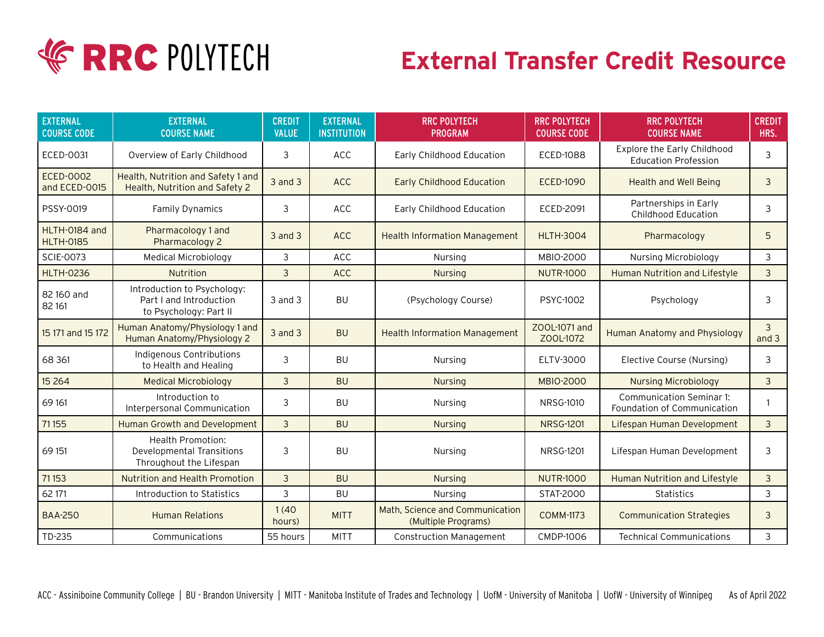

## **External Transfer Credit Resource**

| <b>EXTERNAL</b><br><b>COURSE CODE</b> | <b>EXTERNAL</b><br><b>COURSE NAME</b>                                                   | <b>CREDIT</b><br><b>VALUE</b> | <b>EXTERNAL</b><br><b>INSTITUTION</b> | <b>RRC POLYTECH</b><br><b>PROGRAM</b>                  | <b>RRC POLYTECH</b><br><b>COURSE CODE</b> | <b>RRC POLYTECH</b><br><b>COURSE NAME</b>                      | <b>CREDIT</b><br>HRS. |
|---------------------------------------|-----------------------------------------------------------------------------------------|-------------------------------|---------------------------------------|--------------------------------------------------------|-------------------------------------------|----------------------------------------------------------------|-----------------------|
| ECED-0031                             | Overview of Early Childhood                                                             | 3                             | <b>ACC</b>                            | Early Childhood Education                              | <b>ECED-1088</b>                          | Explore the Early Childhood<br><b>Education Profession</b>     | 3                     |
| <b>ECED-0002</b><br>and ECED-0015     | Health, Nutrition and Safety 1 and<br>Health, Nutrition and Safety 2                    | $3$ and $3$                   | <b>ACC</b>                            | <b>Early Childhood Education</b>                       | <b>ECED-1090</b>                          | <b>Health and Well Being</b>                                   | 3                     |
| PSSY-0019                             | <b>Family Dynamics</b>                                                                  | 3                             | <b>ACC</b>                            | Early Childhood Education                              | ECED-2091                                 | Partnerships in Early<br><b>Childhood Education</b>            | 3                     |
| HLTH-0184 and<br><b>HLTH-0185</b>     | Pharmacology 1 and<br>Pharmacology 2                                                    | 3 and 3                       | ACC                                   | <b>Health Information Management</b>                   | <b>HLTH-3004</b>                          | Pharmacology                                                   | 5                     |
| <b>SCIE-0073</b>                      | Medical Microbiology                                                                    | 3                             | ACC                                   | Nursing                                                | <b>MBIO-2000</b>                          | Nursing Microbiology                                           | 3                     |
| <b>HLTH-0236</b>                      | Nutrition                                                                               | 3                             | <b>ACC</b>                            | <b>Nursing</b>                                         | <b>NUTR-1000</b>                          | <b>Human Nutrition and Lifestyle</b>                           | $\overline{3}$        |
| 82 160 and<br>82 161                  | Introduction to Psychology:<br>Part I and Introduction<br>to Psychology: Part II        | 3 and 3                       | <b>BU</b>                             | (Psychology Course)                                    | <b>PSYC-1002</b>                          | Psychology                                                     | 3                     |
| 15 171 and 15 172                     | Human Anatomy/Physiology 1 and<br>Human Anatomy/Physiology 2                            | 3 and 3                       | <b>BU</b>                             | <b>Health Information Management</b>                   | ZOOL-1071 and<br>ZOOL-1072                | Human Anatomy and Physiology                                   | 3<br>and $3$          |
| 68 361                                | Indigenous Contributions<br>to Health and Healing                                       | 3                             | <b>BU</b>                             | Nursing                                                | ELTV-3000                                 | Elective Course (Nursing)                                      | 3                     |
| 15 2 64                               | <b>Medical Microbiology</b>                                                             | 3                             | <b>BU</b>                             | <b>Nursing</b>                                         | <b>MBIO-2000</b>                          | <b>Nursing Microbiology</b>                                    | 3                     |
| 69 161                                | Introduction to<br>Interpersonal Communication                                          | 3                             | <b>BU</b>                             | Nursing                                                | <b>NRSG-1010</b>                          | <b>Communication Seminar 1:</b><br>Foundation of Communication |                       |
| 71155                                 | Human Growth and Development                                                            | $\overline{3}$                | <b>BU</b>                             | <b>Nursing</b>                                         | <b>NRSG-1201</b>                          | Lifespan Human Development                                     | $\mathbf{3}$          |
| 69 151                                | <b>Health Promotion:</b><br><b>Developmental Transitions</b><br>Throughout the Lifespan | 3                             | <b>BU</b>                             | Nursing                                                | <b>NRSG-1201</b>                          | Lifespan Human Development                                     | 3                     |
| 71153                                 | <b>Nutrition and Health Promotion</b>                                                   | 3                             | <b>BU</b>                             | <b>Nursing</b>                                         | <b>NUTR-1000</b>                          | <b>Human Nutrition and Lifestyle</b>                           | 3                     |
| 62 171                                | Introduction to Statistics                                                              | 3                             | <b>BU</b>                             | Nursing                                                | STAT-2000                                 | Statistics                                                     | 3                     |
| <b>BAA-250</b>                        | <b>Human Relations</b>                                                                  | 1(40)<br>hours)               | <b>MITT</b>                           | Math, Science and Communication<br>(Multiple Programs) | <b>COMM-1173</b>                          | <b>Communication Strategies</b>                                | 3                     |
| TD-235                                | Communications                                                                          | 55 hours                      | <b>MITT</b>                           | <b>Construction Management</b>                         | CMDP-1006                                 | <b>Technical Communications</b>                                | 3                     |

ACC - Assiniboine Community College | BU - Brandon University | MITT - Manitoba Institute of Trades and Technology | UofM - University of Manitoba | UofW - University of Winnipeg As of April 2022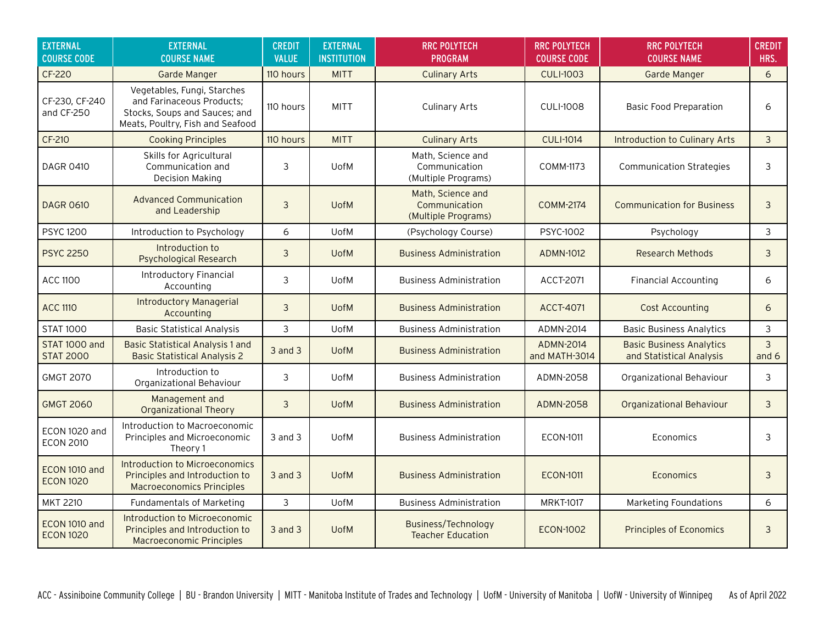| <b>EXTERNAL</b><br><b>COURSE CODE</b> | <b>EXTERNAL</b><br><b>COURSE NAME</b>                                                                                         | <b>CREDIT</b><br><b>VALUE</b> | <b>EXTERNAL</b><br><b>INSTITUTION</b> | <b>RRC POLYTECH</b><br><b>PROGRAM</b>                     | <b>RRC POLYTECH</b><br><b>COURSE CODE</b> | <b>RRC POLYTECH</b><br><b>COURSE NAME</b>                   | <b>CREDIT</b><br>HRS. |
|---------------------------------------|-------------------------------------------------------------------------------------------------------------------------------|-------------------------------|---------------------------------------|-----------------------------------------------------------|-------------------------------------------|-------------------------------------------------------------|-----------------------|
| CF-220                                | Garde Manger                                                                                                                  | 110 hours                     | <b>MITT</b>                           | <b>Culinary Arts</b>                                      | <b>CULI-1003</b>                          | <b>Garde Manger</b>                                         | 6                     |
| CF-230, CF-240<br>and CF-250          | Vegetables, Fungi, Starches<br>and Farinaceous Products;<br>Stocks, Soups and Sauces; and<br>Meats, Poultry, Fish and Seafood | 110 hours                     | <b>MITT</b>                           | <b>Culinary Arts</b>                                      | <b>CULI-1008</b>                          | <b>Basic Food Preparation</b>                               | 6                     |
| <b>CF-210</b>                         | <b>Cooking Principles</b>                                                                                                     | 110 hours                     | <b>MITT</b>                           | <b>Culinary Arts</b>                                      | <b>CULI-1014</b>                          | <b>Introduction to Culinary Arts</b>                        | 3                     |
| DAGR 0410                             | Skills for Agricultural<br>Communication and<br><b>Decision Making</b>                                                        | 3                             | <b>UofM</b>                           | Math, Science and<br>Communication<br>(Multiple Programs) | COMM-1173                                 | <b>Communication Strategies</b>                             | 3                     |
| <b>DAGR 0610</b>                      | <b>Advanced Communication</b><br>and Leadership                                                                               | 3                             | <b>UofM</b>                           | Math, Science and<br>Communication<br>(Multiple Programs) | <b>COMM-2174</b>                          | <b>Communication for Business</b>                           | 3                     |
| <b>PSYC 1200</b>                      | Introduction to Psychology                                                                                                    | 6                             | <b>UofM</b>                           | (Psychology Course)                                       | PSYC-1002                                 | Psychology                                                  | 3                     |
| <b>PSYC 2250</b>                      | Introduction to<br><b>Psychological Research</b>                                                                              | 3                             | <b>UofM</b>                           | <b>Business Administration</b>                            | <b>ADMN-1012</b>                          | <b>Research Methods</b>                                     | 3                     |
| <b>ACC 1100</b>                       | <b>Introductory Financial</b><br>Accounting                                                                                   | 3                             | <b>UofM</b>                           | <b>Business Administration</b>                            | ACCT-2071                                 | <b>Financial Accounting</b>                                 | 6                     |
| <b>ACC 1110</b>                       | <b>Introductory Managerial</b><br>Accounting                                                                                  | 3                             | <b>UofM</b>                           | <b>Business Administration</b>                            | <b>ACCT-4071</b>                          | Cost Accounting                                             | 6                     |
| <b>STAT 1000</b>                      | <b>Basic Statistical Analysis</b>                                                                                             | 3                             | <b>UofM</b>                           | <b>Business Administration</b>                            | ADMN-2014                                 | <b>Basic Business Analytics</b>                             | 3                     |
| STAT 1000 and<br><b>STAT 2000</b>     | <b>Basic Statistical Analysis 1 and</b><br><b>Basic Statistical Analysis 2</b>                                                | 3 and 3                       | <b>UofM</b>                           | <b>Business Administration</b>                            | <b>ADMN-2014</b><br>and MATH-3014         | <b>Basic Business Analytics</b><br>and Statistical Analysis | 3<br>and 6            |
| <b>GMGT 2070</b>                      | Introduction to<br>Organizational Behaviour                                                                                   | 3                             | UofM                                  | <b>Business Administration</b>                            | ADMN-2058                                 | Organizational Behaviour                                    | 3                     |
| <b>GMGT 2060</b>                      | Management and<br><b>Organizational Theory</b>                                                                                | $\mathfrak{Z}$                | <b>UofM</b>                           | <b>Business Administration</b>                            | <b>ADMN-2058</b>                          | <b>Organizational Behaviour</b>                             | $\mathfrak{Z}$        |
| ECON 1020 and<br><b>ECON 2010</b>     | Introduction to Macroeconomic<br>Principles and Microeconomic<br>Theory 1                                                     | 3 and 3                       | <b>UofM</b>                           | <b>Business Administration</b>                            | <b>ECON-1011</b>                          | Economics                                                   | 3                     |
| ECON 1010 and<br><b>ECON 1020</b>     | <b>Introduction to Microeconomics</b><br>Principles and Introduction to<br><b>Macroeconomics Principles</b>                   | 3 and 3                       | <b>UofM</b>                           | <b>Business Administration</b>                            | <b>ECON-1011</b>                          | Economics                                                   | 3                     |
| <b>MKT 2210</b>                       | <b>Fundamentals of Marketing</b>                                                                                              | 3                             | UofM                                  | <b>Business Administration</b>                            | <b>MRKT-1017</b>                          | <b>Marketing Foundations</b>                                | 6                     |
| ECON 1010 and<br><b>ECON 1020</b>     | Introduction to Microeconomic<br>Principles and Introduction to<br><b>Macroeconomic Principles</b>                            | $3$ and $3$                   | <b>UofM</b>                           | Business/Technology<br><b>Teacher Education</b>           | <b>ECON-1002</b>                          | <b>Principles of Economics</b>                              | 3                     |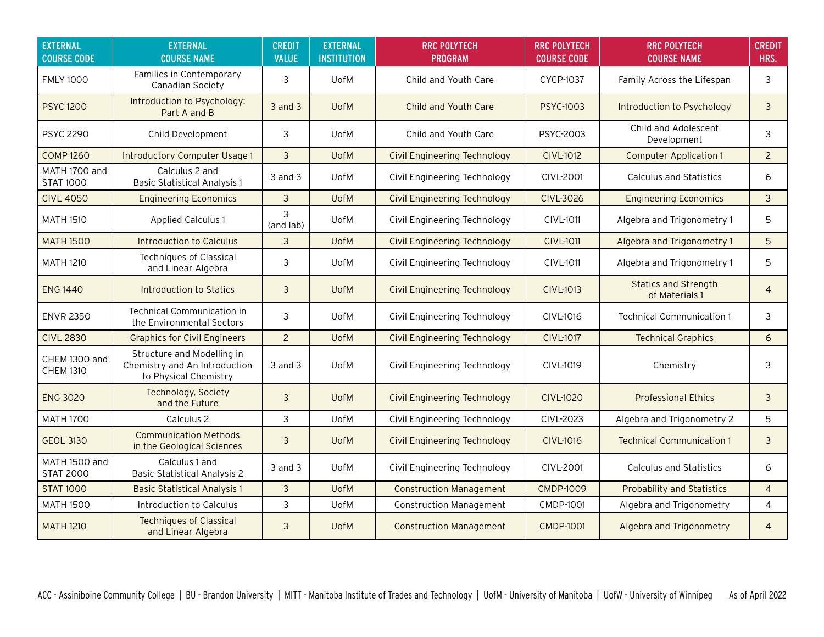| <b>EXTERNAL</b><br><b>COURSE CODE</b> | <b>EXTERNAL</b><br><b>COURSE NAME</b>                                                | <b>CREDIT</b><br><b>VALUE</b> | <b>EXTERNAL</b><br><b>INSTITUTION</b> | <b>RRC POLYTECH</b><br><b>PROGRAM</b> | <b>RRC POLYTECH</b><br><b>COURSE CODE</b> | <b>RRC POLYTECH</b><br><b>COURSE NAME</b>     | <b>CREDIT</b><br>HRS. |
|---------------------------------------|--------------------------------------------------------------------------------------|-------------------------------|---------------------------------------|---------------------------------------|-------------------------------------------|-----------------------------------------------|-----------------------|
| <b>FMLY 1000</b>                      | Families in Contemporary<br>Canadian Society                                         | 3                             | <b>UofM</b>                           | Child and Youth Care                  | <b>CYCP-1037</b>                          | Family Across the Lifespan                    | 3                     |
| <b>PSYC 1200</b>                      | Introduction to Psychology:<br>Part A and B                                          | $3$ and $3$                   | <b>UofM</b>                           | <b>Child and Youth Care</b>           | <b>PSYC-1003</b>                          | Introduction to Psychology                    | 3                     |
| <b>PSYC 2290</b>                      | Child Development                                                                    | 3                             | <b>UofM</b>                           | Child and Youth Care                  | PSYC-2003                                 | Child and Adolescent<br>Development           | 3                     |
| <b>COMP 1260</b>                      | <b>Introductory Computer Usage 1</b>                                                 | 3                             | <b>UofM</b>                           | <b>Civil Engineering Technology</b>   | <b>CIVL-1012</b>                          | <b>Computer Application 1</b>                 | $\overline{2}$        |
| MATH 1700 and<br><b>STAT 1000</b>     | Calculus 2 and<br><b>Basic Statistical Analysis 1</b>                                | $3$ and $3$                   | <b>UofM</b>                           | Civil Engineering Technology          | <b>CIVL-2001</b>                          | <b>Calculus and Statistics</b>                | 6                     |
| <b>CIVL 4050</b>                      | <b>Engineering Economics</b>                                                         | 3                             | <b>UofM</b>                           | <b>Civil Engineering Technology</b>   | <b>CIVL-3026</b>                          | <b>Engineering Economics</b>                  | 3                     |
| <b>MATH 1510</b>                      | <b>Applied Calculus 1</b>                                                            | 3<br>(and lab)                | UofM                                  | Civil Engineering Technology          | CIVL-1011                                 | Algebra and Trigonometry 1                    | 5                     |
| <b>MATH 1500</b>                      | <b>Introduction to Calculus</b>                                                      | 3                             | <b>UofM</b>                           | <b>Civil Engineering Technology</b>   | <b>CIVL-1011</b>                          | Algebra and Trigonometry 1                    | 5                     |
| <b>MATH 1210</b>                      | <b>Techniques of Classical</b><br>and Linear Algebra                                 | 3                             | <b>UofM</b>                           | Civil Engineering Technology          | <b>CIVL-1011</b>                          | Algebra and Trigonometry 1                    | 5                     |
| <b>ENG 1440</b>                       | Introduction to Statics                                                              | 3                             | <b>UofM</b>                           | Civil Engineering Technology          | <b>CIVL-1013</b>                          | <b>Statics and Strength</b><br>of Materials 1 | $\overline{4}$        |
| <b>ENVR 2350</b>                      | <b>Technical Communication in</b><br>the Environmental Sectors                       | 3                             | <b>UofM</b>                           | Civil Engineering Technology          | CIVL-1016                                 | <b>Technical Communication 1</b>              | 3                     |
| <b>CIVL 2830</b>                      | <b>Graphics for Civil Engineers</b>                                                  | $\overline{2}$                | <b>UofM</b>                           | <b>Civil Engineering Technology</b>   | <b>CIVL-1017</b>                          | <b>Technical Graphics</b>                     | 6                     |
| CHEM 1300 and<br><b>CHEM 1310</b>     | Structure and Modelling in<br>Chemistry and An Introduction<br>to Physical Chemistry | $3$ and $3$                   | <b>UofM</b>                           | Civil Engineering Technology          | CIVL-1019                                 | Chemistry                                     | 3                     |
| <b>ENG 3020</b>                       | Technology, Society<br>and the Future                                                | 3                             | <b>UofM</b>                           | Civil Engineering Technology          | <b>CIVL-1020</b>                          | <b>Professional Ethics</b>                    | 3                     |
| <b>MATH 1700</b>                      | Calculus 2                                                                           | 3                             | <b>UofM</b>                           | Civil Engineering Technology          | CIVL-2023                                 | Algebra and Trigonometry 2                    | 5                     |
| <b>GEOL 3130</b>                      | <b>Communication Methods</b><br>in the Geological Sciences                           | 3                             | <b>UofM</b>                           | <b>Civil Engineering Technology</b>   | <b>CIVL-1016</b>                          | <b>Technical Communication 1</b>              | 3                     |
| MATH 1500 and<br><b>STAT 2000</b>     | Calculus 1 and<br><b>Basic Statistical Analysis 2</b>                                | $3$ and $3$                   | <b>UofM</b>                           | Civil Engineering Technology          | <b>CIVL-2001</b>                          | <b>Calculus and Statistics</b>                | 6                     |
| <b>STAT 1000</b>                      | <b>Basic Statistical Analysis 1</b>                                                  | 3                             | <b>UofM</b>                           | <b>Construction Management</b>        | <b>CMDP-1009</b>                          | <b>Probability and Statistics</b>             | $\overline{4}$        |
| <b>MATH 1500</b>                      | Introduction to Calculus                                                             | 3                             | UofM                                  | <b>Construction Management</b>        | <b>CMDP-1001</b>                          | Algebra and Trigonometry                      | $\overline{4}$        |
| <b>MATH 1210</b>                      | <b>Techniques of Classical</b><br>and Linear Algebra                                 | 3                             | <b>UofM</b>                           | <b>Construction Management</b>        | <b>CMDP-1001</b>                          | Algebra and Trigonometry                      | $\overline{4}$        |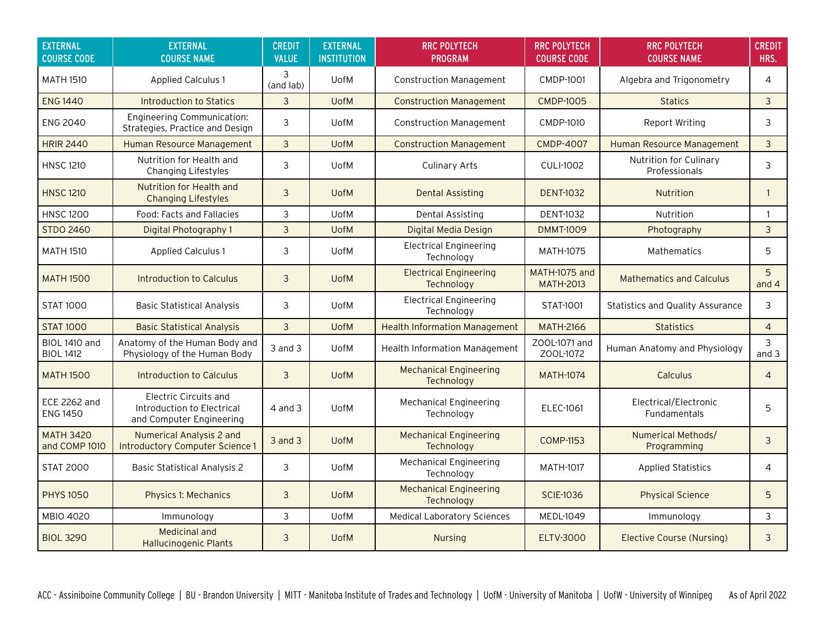| <b>EXTERNAL</b><br><b>COURSE CODE</b>    | <b>EXTERNAL</b><br><b>COURSE NAME</b>                                           | <b>CREDIT</b><br><b>VALUE</b> | <b>EXTERNAL</b><br><b>INSTITUTION</b> | <b>RRC POLYTECH</b><br><b>PROGRAM</b>       | <b>RRC POLYTECH</b><br><b>COURSE CODE</b> | <b>RRC POLYTECH</b><br><b>COURSE NAME</b> | <b>CREDIT</b><br>HRS. |
|------------------------------------------|---------------------------------------------------------------------------------|-------------------------------|---------------------------------------|---------------------------------------------|-------------------------------------------|-------------------------------------------|-----------------------|
| <b>MATH 1510</b>                         | <b>Applied Calculus 1</b>                                                       | 3<br>(and lab)                | <b>UofM</b>                           | <b>Construction Management</b>              | <b>CMDP-1001</b>                          | Algebra and Trigonometry                  | $\overline{4}$        |
| <b>ENG 1440</b>                          | Introduction to Statics                                                         | 3                             | <b>UofM</b>                           | <b>Construction Management</b>              | <b>CMDP-1005</b>                          | <b>Statics</b>                            | 3                     |
| <b>ENG 2040</b>                          | <b>Engineering Communication:</b><br>Strategies, Practice and Design            | 3                             | <b>UofM</b>                           | <b>Construction Management</b>              | <b>CMDP-1010</b>                          | Report Writing                            | 3                     |
| <b>HRIR 2440</b>                         | Human Resource Management                                                       | $\mathbf{3}$                  | <b>UofM</b>                           | <b>Construction Management</b>              | <b>CMDP-4007</b>                          | Human Resource Management                 | $\mathbf{3}$          |
| <b>HNSC 1210</b>                         | Nutrition for Health and<br>Changing Lifestyles                                 | 3                             | <b>UofM</b>                           | <b>Culinary Arts</b>                        | <b>CULI-1002</b>                          | Nutrition for Culinary<br>Professionals   | 3                     |
| <b>HNSC 1210</b>                         | Nutrition for Health and<br><b>Changing Lifestyles</b>                          | 3                             | <b>UofM</b>                           | Dental Assisting                            | <b>DENT-1032</b>                          | <b>Nutrition</b>                          | $\mathbf{1}$          |
| <b>HNSC 1200</b>                         | Food: Facts and Fallacies                                                       | 3                             | <b>UofM</b>                           | <b>Dental Assisting</b>                     | <b>DENT-1032</b>                          | Nutrition                                 | $\mathbf{1}$          |
| <b>STDO 2460</b>                         | Digital Photography 1                                                           | 3                             | <b>UofM</b>                           | Digital Media Design                        | <b>DMMT-1009</b>                          | Photography                               | 3                     |
| <b>MATH 1510</b>                         | <b>Applied Calculus 1</b>                                                       | 3                             | <b>UofM</b>                           | <b>Electrical Engineering</b><br>Technology | <b>MATH-1075</b>                          | <b>Mathematics</b>                        | 5                     |
| <b>MATH 1500</b>                         | Introduction to Calculus                                                        | 3                             | <b>UofM</b>                           | <b>Electrical Engineering</b><br>Technology | MATH-1075 and<br><b>MATH-2013</b>         | <b>Mathematics and Calculus</b>           | 5<br>and $4$          |
| <b>STAT 1000</b>                         | <b>Basic Statistical Analysis</b>                                               | 3                             | <b>UofM</b>                           | <b>Electrical Engineering</b><br>Technology | STAT-1001                                 | <b>Statistics and Quality Assurance</b>   | 3                     |
| <b>STAT 1000</b>                         | <b>Basic Statistical Analysis</b>                                               | 3                             | <b>UofM</b>                           | <b>Health Information Management</b>        | <b>MATH-2166</b>                          | <b>Statistics</b>                         | $\overline{4}$        |
| <b>BIOL 1410 and</b><br><b>BIOL 1412</b> | Anatomy of the Human Body and<br>Physiology of the Human Body                   | $3$ and $3$                   | <b>UofM</b>                           | <b>Health Information Management</b>        | ZOOL-1071 and<br>Z00L-1072                | Human Anatomy and Physiology              | 3<br>and $3$          |
| <b>MATH 1500</b>                         | Introduction to Calculus                                                        | 3                             | <b>UofM</b>                           | <b>Mechanical Engineering</b><br>Technology | <b>MATH-1074</b>                          | Calculus                                  | $\overline{4}$        |
| <b>ECE 2262 and</b><br><b>ENG 1450</b>   | Electric Circuits and<br>Introduction to Electrical<br>and Computer Engineering | 4 and 3                       | <b>UofM</b>                           | <b>Mechanical Engineering</b><br>Technology | <b>ELEC-1061</b>                          | Electrical/Electronic<br>Fundamentals     | 5                     |
| <b>MATH 3420</b><br>and COMP 1010        | <b>Numerical Analysis 2 and</b><br><b>Introductory Computer Science 1</b>       | $3$ and $3$                   | <b>UofM</b>                           | <b>Mechanical Engineering</b><br>Technology | <b>COMP-1153</b>                          | <b>Numerical Methods/</b><br>Programming  | 3                     |
| <b>STAT 2000</b>                         | <b>Basic Statistical Analysis 2</b>                                             | 3                             | <b>UofM</b>                           | <b>Mechanical Engineering</b><br>Technology | <b>MATH-1017</b>                          | <b>Applied Statistics</b>                 | 4                     |
| <b>PHYS 1050</b>                         | <b>Physics 1: Mechanics</b>                                                     | 3                             | <b>UofM</b>                           | <b>Mechanical Engineering</b><br>Technology | <b>SCIE-1036</b>                          | <b>Physical Science</b>                   | 5                     |
| MBIO 4020                                | Immunology                                                                      | 3                             | UofM                                  | <b>Medical Laboratory Sciences</b>          | <b>MEDL-1049</b>                          | Immunology                                | 3                     |
| <b>BIOL 3290</b>                         | <b>Medicinal and</b><br><b>Hallucinogenic Plants</b>                            | 3                             | <b>UofM</b>                           | Nursing                                     | <b>ELTV-3000</b>                          | <b>Elective Course (Nursing)</b>          | 3                     |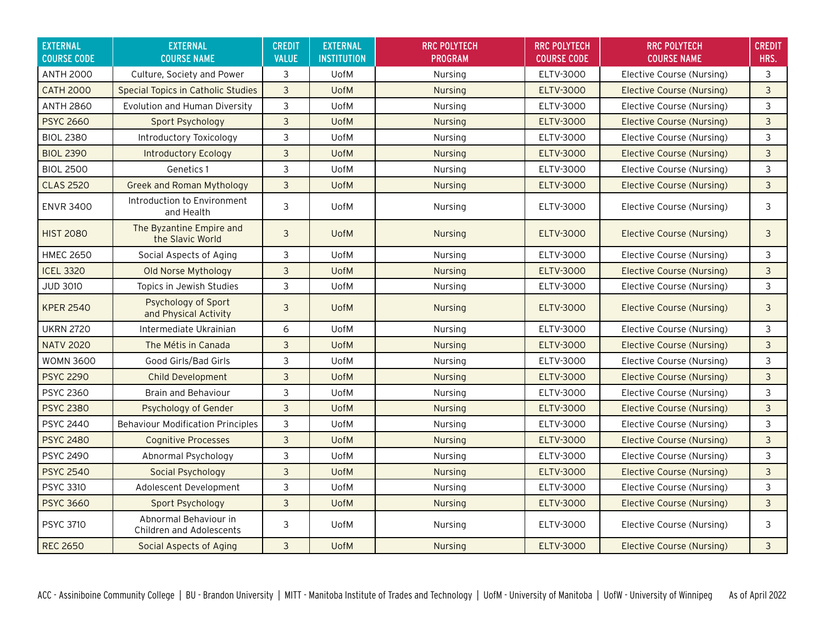| <b>EXTERNAL</b><br><b>COURSE CODE</b> | <b>EXTERNAL</b><br><b>COURSE NAME</b>                    | <b>CREDIT</b><br><b>VALUE</b> | <b>EXTERNAL</b><br><b>INSTITUTION</b> | <b>RRC POLYTECH</b><br><b>PROGRAM</b> | <b>RRC POLYTECH</b><br><b>COURSE CODE</b> | <b>RRC POLYTECH</b><br><b>COURSE NAME</b> | <b>CREDIT</b><br>HRS. |
|---------------------------------------|----------------------------------------------------------|-------------------------------|---------------------------------------|---------------------------------------|-------------------------------------------|-------------------------------------------|-----------------------|
| <b>ANTH 2000</b>                      | Culture, Society and Power                               | 3                             | <b>UofM</b>                           | Nursing                               | ELTV-3000                                 | Elective Course (Nursing)                 | 3                     |
| <b>CATH 2000</b>                      | <b>Special Topics in Catholic Studies</b>                | $\overline{3}$                | <b>UofM</b>                           | <b>Nursing</b>                        | <b>ELTV-3000</b>                          | <b>Elective Course (Nursing)</b>          | 3                     |
| <b>ANTH 2860</b>                      | Evolution and Human Diversity                            | 3                             | <b>UofM</b>                           | Nursing                               | ELTV-3000                                 | Elective Course (Nursing)                 | 3                     |
| <b>PSYC 2660</b>                      | Sport Psychology                                         | 3                             | <b>UofM</b>                           | <b>Nursing</b>                        | <b>ELTV-3000</b>                          | <b>Elective Course (Nursing)</b>          | 3                     |
| <b>BIOL 2380</b>                      | Introductory Toxicology                                  | 3                             | <b>UofM</b>                           | Nursing                               | ELTV-3000                                 | Elective Course (Nursing)                 | 3                     |
| <b>BIOL 2390</b>                      | Introductory Ecology                                     | 3                             | <b>UofM</b>                           | <b>Nursing</b>                        | <b>ELTV-3000</b>                          | <b>Elective Course (Nursing)</b>          | 3                     |
| <b>BIOL 2500</b>                      | Genetics 1                                               | 3                             | <b>UofM</b>                           | Nursing                               | ELTV-3000                                 | Elective Course (Nursing)                 | 3                     |
| <b>CLAS 2520</b>                      | <b>Greek and Roman Mythology</b>                         | 3                             | <b>UofM</b>                           | <b>Nursing</b>                        | <b>ELTV-3000</b>                          | <b>Elective Course (Nursing)</b>          | 3                     |
| <b>ENVR 3400</b>                      | Introduction to Environment<br>and Health                | 3                             | <b>UofM</b>                           | Nursing                               | ELTV-3000                                 | Elective Course (Nursing)                 | 3                     |
| <b>HIST 2080</b>                      | The Byzantine Empire and<br>the Slavic World             | 3                             | <b>UofM</b>                           | <b>Nursing</b>                        | <b>ELTV-3000</b>                          | Elective Course (Nursing)                 | 3                     |
| <b>HMEC 2650</b>                      | Social Aspects of Aging                                  | 3                             | <b>UofM</b>                           | Nursing                               | ELTV-3000                                 | Elective Course (Nursing)                 | 3                     |
| <b>ICEL 3320</b>                      | Old Norse Mythology                                      | 3                             | <b>UofM</b>                           | <b>Nursing</b>                        | <b>ELTV-3000</b>                          | <b>Elective Course (Nursing)</b>          | 3                     |
| <b>JUD 3010</b>                       | Topics in Jewish Studies                                 | 3                             | <b>UofM</b>                           | Nursing                               | ELTV-3000                                 | Elective Course (Nursing)                 | 3                     |
| <b>KPER 2540</b>                      | Psychology of Sport<br>and Physical Activity             | 3                             | <b>UofM</b>                           | <b>Nursing</b>                        | <b>ELTV-3000</b>                          | <b>Elective Course (Nursing)</b>          | 3                     |
| <b>UKRN 2720</b>                      | Intermediate Ukrainian                                   | 6                             | <b>UofM</b>                           | Nursing                               | ELTV-3000                                 | Elective Course (Nursing)                 | 3                     |
| <b>NATV 2020</b>                      | The Métis in Canada                                      | 3                             | <b>UofM</b>                           | <b>Nursing</b>                        | <b>ELTV-3000</b>                          | Elective Course (Nursing)                 | $\mathbf{3}$          |
| <b>WOMN 3600</b>                      | Good Girls/Bad Girls                                     | 3                             | <b>UofM</b>                           | Nursing                               | ELTV-3000                                 | Elective Course (Nursing)                 | 3                     |
| <b>PSYC 2290</b>                      | <b>Child Development</b>                                 | 3                             | <b>UofM</b>                           | <b>Nursing</b>                        | <b>ELTV-3000</b>                          | Elective Course (Nursing)                 | 3                     |
| <b>PSYC 2360</b>                      | <b>Brain and Behaviour</b>                               | 3                             | <b>UofM</b>                           | Nursing                               | ELTV-3000                                 | Elective Course (Nursing)                 | 3                     |
| <b>PSYC 2380</b>                      | Psychology of Gender                                     | $\overline{3}$                | <b>UofM</b>                           | <b>Nursing</b>                        | <b>ELTV-3000</b>                          | Elective Course (Nursing)                 | 3                     |
| <b>PSYC 2440</b>                      | <b>Behaviour Modification Principles</b>                 | 3                             | UofM                                  | Nursing                               | ELTV-3000                                 | Elective Course (Nursing)                 | 3                     |
| <b>PSYC 2480</b>                      | <b>Cognitive Processes</b>                               | 3                             | <b>UofM</b>                           | <b>Nursing</b>                        | <b>ELTV-3000</b>                          | Elective Course (Nursing)                 | 3                     |
| <b>PSYC 2490</b>                      | Abnormal Psychology                                      | 3                             | UofM                                  | Nursing                               | ELTV-3000                                 | Elective Course (Nursing)                 | 3                     |
| <b>PSYC 2540</b>                      | Social Psychology                                        | 3                             | <b>UofM</b>                           | <b>Nursing</b>                        | <b>ELTV-3000</b>                          | Elective Course (Nursing)                 | 3                     |
| <b>PSYC 3310</b>                      | Adolescent Development                                   | 3                             | <b>UofM</b>                           | Nursing                               | ELTV-3000                                 | Elective Course (Nursing)                 | 3                     |
| <b>PSYC 3660</b>                      | Sport Psychology                                         | 3                             | <b>UofM</b>                           | <b>Nursing</b>                        | <b>ELTV-3000</b>                          | <b>Elective Course (Nursing)</b>          | 3                     |
| <b>PSYC 3710</b>                      | Abnormal Behaviour in<br><b>Children and Adolescents</b> | 3                             | <b>UofM</b>                           | Nursing                               | ELTV-3000                                 | Elective Course (Nursing)                 | 3                     |
| <b>REC 2650</b>                       | Social Aspects of Aging                                  | 3                             | <b>UofM</b>                           | <b>Nursing</b>                        | <b>ELTV-3000</b>                          | Elective Course (Nursing)                 | 3                     |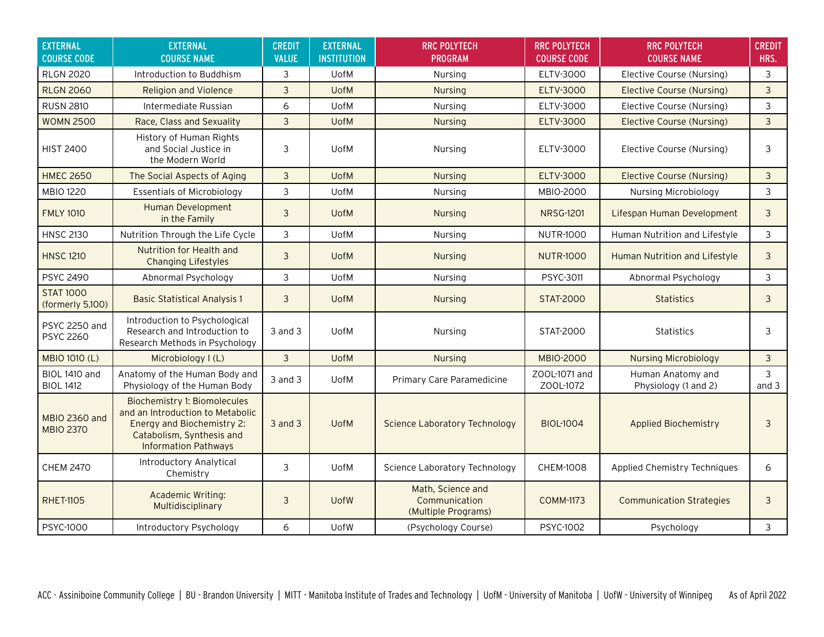| <b>EXTERNAL</b><br><b>COURSE CODE</b>    | <b>EXTERNAL</b><br><b>COURSE NAME</b>                                                                                                                             | <b>CREDIT</b><br><b>VALUE</b> | <b>EXTERNAL</b><br><b>INSTITUTION</b> | <b>RRC POLYTECH</b><br><b>PROGRAM</b>                     | <b>RRC POLYTECH</b><br><b>COURSE CODE</b> | <b>RRC POLYTECH</b><br><b>COURSE NAME</b> | <b>CREDIT</b><br>HRS. |
|------------------------------------------|-------------------------------------------------------------------------------------------------------------------------------------------------------------------|-------------------------------|---------------------------------------|-----------------------------------------------------------|-------------------------------------------|-------------------------------------------|-----------------------|
| <b>RLGN 2020</b>                         | Introduction to Buddhism                                                                                                                                          | 3                             | UofM                                  | Nursing                                                   | ELTV-3000                                 | Elective Course (Nursing)                 | 3                     |
| <b>RLGN 2060</b>                         | <b>Religion and Violence</b>                                                                                                                                      | 3                             | <b>UofM</b>                           | <b>Nursing</b>                                            | <b>ELTV-3000</b>                          | Elective Course (Nursing)                 | 3                     |
| <b>RUSN 2810</b>                         | Intermediate Russian                                                                                                                                              | 6                             | UofM                                  | Nursing                                                   | ELTV-3000                                 | Elective Course (Nursing)                 | 3                     |
| <b>WOMN 2500</b>                         | Race, Class and Sexuality                                                                                                                                         | $\overline{3}$                | <b>UofM</b>                           | <b>Nursing</b>                                            | <b>ELTV-3000</b>                          | <b>Elective Course (Nursing)</b>          | $\overline{3}$        |
| <b>HIST 2400</b>                         | History of Human Rights<br>and Social Justice in<br>the Modern World                                                                                              | 3                             | <b>UofM</b>                           | Nursing                                                   | ELTV-3000                                 | Elective Course (Nursing)                 | 3                     |
| <b>HMEC 2650</b>                         | The Social Aspects of Aging                                                                                                                                       | $\overline{3}$                | <b>UofM</b>                           | <b>Nursing</b>                                            | <b>ELTV-3000</b>                          | Elective Course (Nursing)                 | $\mathbf{3}$          |
| <b>MBIO 1220</b>                         | <b>Essentials of Microbiology</b>                                                                                                                                 | 3                             | <b>UofM</b>                           | Nursing                                                   | MBIO-2000                                 | Nursing Microbiology                      | 3                     |
| <b>FMLY 1010</b>                         | <b>Human Development</b><br>in the Family                                                                                                                         | 3                             | <b>UofM</b>                           | <b>Nursing</b>                                            | <b>NRSG-1201</b>                          | Lifespan Human Development                | 3                     |
| <b>HNSC 2130</b>                         | Nutrition Through the Life Cycle                                                                                                                                  | 3                             | UofM                                  | Nursing                                                   | <b>NUTR-1000</b>                          | Human Nutrition and Lifestyle             | 3                     |
| <b>HNSC 1210</b>                         | Nutrition for Health and<br><b>Changing Lifestyles</b>                                                                                                            | 3                             | <b>UofM</b>                           | <b>Nursing</b>                                            | <b>NUTR-1000</b>                          | Human Nutrition and Lifestyle             | 3                     |
| <b>PSYC 2490</b>                         | Abnormal Psychology                                                                                                                                               | 3                             | UofM                                  | Nursing                                                   | PSYC-3011                                 | Abnormal Psychology                       | 3                     |
| <b>STAT 1000</b><br>(formerly 5.100)     | <b>Basic Statistical Analysis 1</b>                                                                                                                               | 3                             | <b>UofM</b>                           | <b>Nursing</b>                                            | <b>STAT-2000</b>                          | <b>Statistics</b>                         | 3                     |
| <b>PSYC 2250 and</b><br><b>PSYC 2260</b> | Introduction to Psychological<br>Research and Introduction to<br>Research Methods in Psychology                                                                   | $3$ and $3$                   | UofM                                  | Nursing                                                   | STAT-2000                                 | <b>Statistics</b>                         | 3                     |
| MBIO 1010 (L)                            | Microbiology I (L)                                                                                                                                                | $\overline{3}$                | <b>UofM</b>                           | <b>Nursing</b>                                            | <b>MBIO-2000</b>                          | <b>Nursing Microbiology</b>               | 3                     |
| BIOL 1410 and<br><b>BIOL 1412</b>        | Anatomy of the Human Body and<br>Physiology of the Human Body                                                                                                     | $3$ and $3$                   | <b>UofM</b>                           | Primary Care Paramedicine                                 | ZOOL-1071 and<br>Z00L-1072                | Human Anatomy and<br>Physiology (1 and 2) | 3<br>and $3$          |
| <b>MBIO 2360 and</b><br><b>MBIO 2370</b> | <b>Biochemistry 1: Biomolecules</b><br>and an Introduction to Metabolic<br>Energy and Biochemistry 2:<br>Catabolism, Synthesis and<br><b>Information Pathways</b> | $3$ and $3$                   | <b>UofM</b>                           | <b>Science Laboratory Technology</b>                      | <b>BIOL-1004</b>                          | <b>Applied Biochemistry</b>               | 3                     |
| <b>CHEM 2470</b>                         | <b>Introductory Analytical</b><br>Chemistry                                                                                                                       | 3                             | UofM                                  | Science Laboratory Technology                             | <b>CHEM-1008</b>                          | Applied Chemistry Techniques              | 6                     |
| <b>RHET-1105</b>                         | Academic Writing:<br>Multidisciplinary                                                                                                                            | 3                             | <b>UofW</b>                           | Math, Science and<br>Communication<br>(Multiple Programs) | <b>COMM-1173</b>                          | <b>Communication Strategies</b>           | 3                     |
| PSYC-1000                                | Introductory Psychology                                                                                                                                           | 6                             | UofW                                  | (Psychology Course)                                       | PSYC-1002                                 | Psychology                                | 3                     |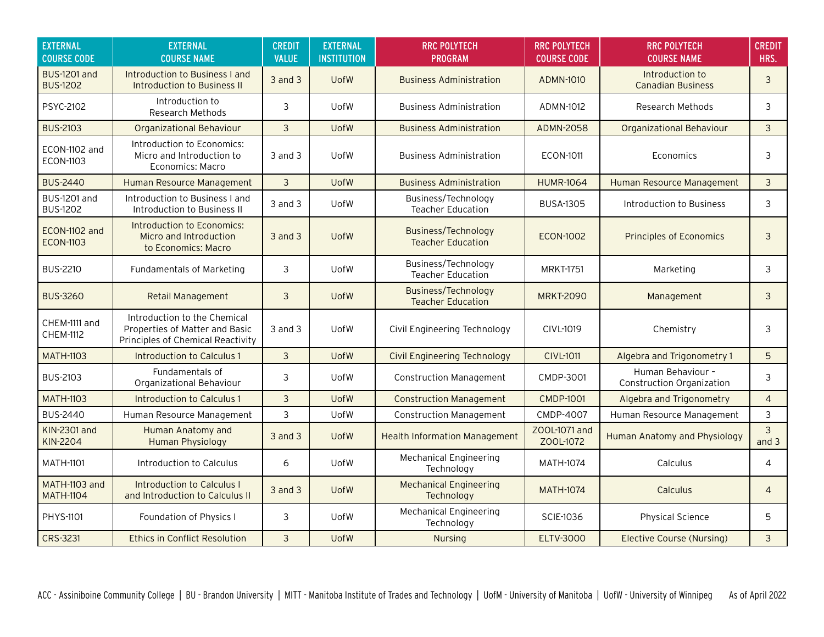| <b>EXTERNAL</b><br><b>COURSE CODE</b>  | <b>EXTERNAL</b><br><b>COURSE NAME</b>                                                               | <b>CREDIT</b><br><b>VALUE</b> | <b>EXTERNAL</b><br><b>INSTITUTION</b> | <b>RRC POLYTECH</b><br><b>PROGRAM</b>                  | <b>RRC POLYTECH</b><br><b>COURSE CODE</b> | <b>RRC POLYTECH</b><br><b>COURSE NAME</b>      | <b>CREDIT</b><br>HRS. |
|----------------------------------------|-----------------------------------------------------------------------------------------------------|-------------------------------|---------------------------------------|--------------------------------------------------------|-------------------------------------------|------------------------------------------------|-----------------------|
| <b>BUS-1201 and</b><br><b>BUS-1202</b> | Introduction to Business I and<br>Introduction to Business II                                       | $3$ and $3$                   | <b>UofW</b>                           | <b>Business Administration</b>                         | <b>ADMN-1010</b>                          | Introduction to<br><b>Canadian Business</b>    | 3                     |
| PSYC-2102                              | Introduction to<br>Research Methods                                                                 | 3                             | <b>UofW</b>                           | <b>Business Administration</b>                         | ADMN-1012                                 | <b>Research Methods</b>                        | 3                     |
| <b>BUS-2103</b>                        | <b>Organizational Behaviour</b>                                                                     | 3                             | <b>UofW</b>                           | <b>Business Administration</b>                         | <b>ADMN-2058</b>                          | <b>Organizational Behaviour</b>                | $\overline{3}$        |
| ECON-1102 and<br><b>ECON-1103</b>      | Introduction to Economics:<br>Micro and Introduction to<br>Economics: Macro                         | 3 and 3                       | <b>UofW</b>                           | <b>Business Administration</b>                         | <b>ECON-1011</b>                          | Economics                                      | 3                     |
| <b>BUS-2440</b>                        | Human Resource Management                                                                           | 3                             | <b>UofW</b>                           | <b>Business Administration</b>                         | <b>HUMR-1064</b>                          | Human Resource Management                      | 3                     |
| <b>BUS-1201 and</b><br><b>BUS-1202</b> | Introduction to Business I and<br>Introduction to Business II                                       | $3$ and $3$                   | <b>UofW</b>                           | Business/Technology<br><b>Teacher Education</b>        | <b>BUSA-1305</b>                          | Introduction to Business                       | 3                     |
| ECON-1102 and<br><b>ECON-1103</b>      | Introduction to Economics:<br>Micro and Introduction<br>to Economics: Macro                         | $3$ and $3$                   | <b>UofW</b>                           | <b>Business/Technology</b><br><b>Teacher Education</b> | <b>ECON-1002</b>                          | <b>Principles of Economics</b>                 | 3                     |
| <b>BUS-2210</b>                        | Fundamentals of Marketing                                                                           | 3                             | <b>UofW</b>                           | Business/Technology<br><b>Teacher Education</b>        | <b>MRKT-1751</b>                          | Marketing                                      | 3                     |
| <b>BUS-3260</b>                        | Retail Management                                                                                   | 3                             | <b>UofW</b>                           | Business/Technology<br><b>Teacher Education</b>        | <b>MRKT-2090</b>                          | Management                                     | 3                     |
| CHEM-1111 and<br><b>CHEM-1112</b>      | Introduction to the Chemical<br>Properties of Matter and Basic<br>Principles of Chemical Reactivity | 3 and 3                       | <b>UofW</b>                           | Civil Engineering Technology                           | CIVL-1019                                 | Chemistry                                      | 3                     |
| <b>MATH-1103</b>                       | Introduction to Calculus 1                                                                          | $\overline{3}$                | <b>UofW</b>                           | <b>Civil Engineering Technology</b>                    | <b>CIVL-1011</b>                          | Algebra and Trigonometry 1                     | 5                     |
| <b>BUS-2103</b>                        | Fundamentals of<br>Organizational Behaviour                                                         | 3                             | <b>UofW</b>                           | <b>Construction Management</b>                         | CMDP-3001                                 | Human Behaviour -<br>Construction Organization | 3                     |
| <b>MATH-1103</b>                       | Introduction to Calculus 1                                                                          | 3                             | <b>UofW</b>                           | <b>Construction Management</b>                         | <b>CMDP-1001</b>                          | Algebra and Trigonometry                       | $\overline{4}$        |
| <b>BUS-2440</b>                        | Human Resource Management                                                                           | 3                             | <b>UofW</b>                           | <b>Construction Management</b>                         | CMDP-4007                                 | Human Resource Management                      | $\mathsf{3}$          |
| KIN-2301 and<br>KIN-2204               | Human Anatomy and<br><b>Human Physiology</b>                                                        | 3 and 3                       | <b>UofW</b>                           | <b>Health Information Management</b>                   | ZOOL-1071 and<br>Z00L-1072                | <b>Human Anatomy and Physiology</b>            | 3<br>and $3$          |
| <b>MATH-1101</b>                       | Introduction to Calculus                                                                            | 6                             | <b>UofW</b>                           | <b>Mechanical Engineering</b><br>Technology            | MATH-1074                                 | Calculus                                       | 4                     |
| MATH-1103 and<br><b>MATH-1104</b>      | <b>Introduction to Calculus I</b><br>and Introduction to Calculus II                                | 3 and 3                       | <b>UofW</b>                           | <b>Mechanical Engineering</b><br>Technology            | <b>MATH-1074</b>                          | Calculus                                       | $\overline{4}$        |
| PHYS-1101                              | Foundation of Physics I                                                                             | 3                             | <b>UofW</b>                           | <b>Mechanical Engineering</b><br>Technology            | <b>SCIE-1036</b>                          | <b>Physical Science</b>                        | 5                     |
| CRS-3231                               | <b>Ethics in Conflict Resolution</b>                                                                | $\overline{3}$                | <b>UofW</b>                           | <b>Nursing</b>                                         | <b>ELTV-3000</b>                          | Elective Course (Nursing)                      | 3                     |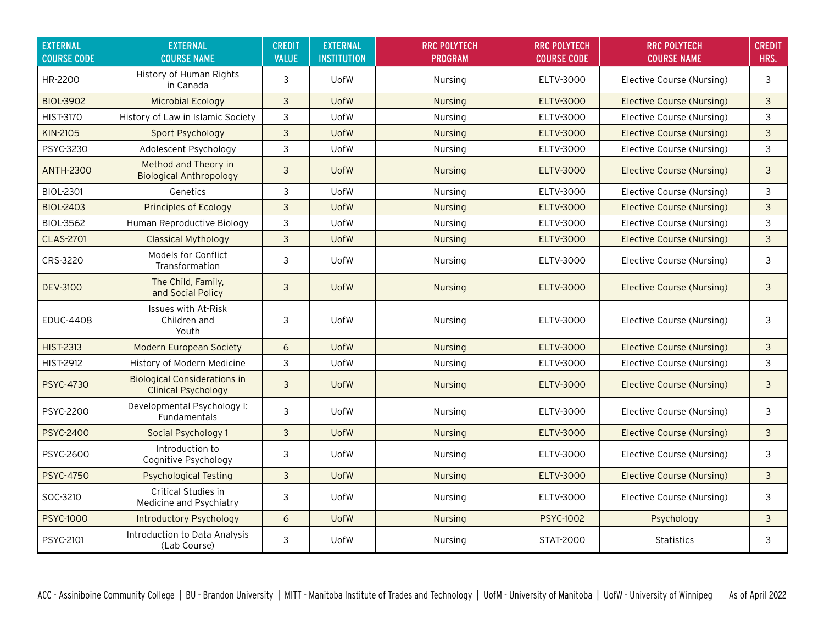| <b>EXTERNAL</b><br><b>COURSE CODE</b> | <b>EXTERNAL</b><br><b>COURSE NAME</b>                             | <b>CREDIT</b><br><b>VALUE</b> | <b>EXTERNAL</b><br><b>INSTITUTION</b> | <b>RRC POLYTECH</b><br><b>PROGRAM</b> | <b>RRC POLYTECH</b><br><b>COURSE CODE</b> | <b>RRC POLYTECH</b><br><b>COURSE NAME</b> | <b>CREDIT</b><br>HRS. |
|---------------------------------------|-------------------------------------------------------------------|-------------------------------|---------------------------------------|---------------------------------------|-------------------------------------------|-------------------------------------------|-----------------------|
| HR-2200                               | History of Human Rights<br>in Canada                              | 3                             | <b>UofW</b>                           | Nursing                               | ELTV-3000                                 | Elective Course (Nursing)                 | 3                     |
| <b>BIOL-3902</b>                      | <b>Microbial Ecology</b>                                          | 3                             | <b>UofW</b>                           | <b>Nursing</b>                        | <b>ELTV-3000</b>                          | <b>Elective Course (Nursing)</b>          | $\mathbf{3}$          |
| <b>HIST-3170</b>                      | History of Law in Islamic Society                                 | 3                             | UofW                                  | Nursing                               | ELTV-3000                                 | Elective Course (Nursing)                 | 3                     |
| KIN-2105                              | Sport Psychology                                                  | 3                             | <b>UofW</b>                           | <b>Nursing</b>                        | <b>ELTV-3000</b>                          | Elective Course (Nursing)                 | 3                     |
| PSYC-3230                             | Adolescent Psychology                                             | 3                             | <b>UofW</b>                           | Nursing                               | ELTV-3000                                 | Elective Course (Nursing)                 | 3                     |
| <b>ANTH-2300</b>                      | Method and Theory in<br><b>Biological Anthropology</b>            | 3                             | <b>UofW</b>                           | <b>Nursing</b>                        | <b>ELTV-3000</b>                          | Elective Course (Nursing)                 | 3                     |
| <b>BIOL-2301</b>                      | Genetics                                                          | 3                             | <b>UofW</b>                           | Nursing                               | ELTV-3000                                 | Elective Course (Nursing)                 | 3                     |
| <b>BIOL-2403</b>                      | <b>Principles of Ecology</b>                                      | $\mathbf{3}$                  | <b>UofW</b>                           | <b>Nursing</b>                        | <b>ELTV-3000</b>                          | Elective Course (Nursing)                 | $\mathfrak{Z}$        |
| <b>BIOL-3562</b>                      | Human Reproductive Biology                                        | 3                             | <b>UofW</b>                           | Nursing                               | ELTV-3000                                 | Elective Course (Nursing)                 | 3                     |
| <b>CLAS-2701</b>                      | <b>Classical Mythology</b>                                        | 3                             | <b>UofW</b>                           | <b>Nursing</b>                        | <b>ELTV-3000</b>                          | Elective Course (Nursing)                 | 3                     |
| CRS-3220                              | Models for Conflict<br>Transformation                             | 3                             | <b>UofW</b>                           | Nursing                               | ELTV-3000                                 | Elective Course (Nursing)                 | 3                     |
| <b>DEV-3100</b>                       | The Child, Family,<br>and Social Policy                           | $\overline{3}$                | <b>UofW</b>                           | <b>Nursing</b>                        | <b>ELTV-3000</b>                          | Elective Course (Nursing)                 | $\mathbf{3}$          |
| <b>EDUC-4408</b>                      | Issues with At-Risk<br>Children and<br>Youth                      | 3                             | <b>UofW</b>                           | Nursing                               | ELTV-3000                                 | Elective Course (Nursing)                 | 3                     |
| <b>HIST-2313</b>                      | <b>Modern European Society</b>                                    | 6                             | <b>UofW</b>                           | Nursing                               | <b>ELTV-3000</b>                          | <b>Elective Course (Nursing)</b>          | $\mathfrak{Z}$        |
| <b>HIST-2912</b>                      | History of Modern Medicine                                        | 3                             | <b>UofW</b>                           | Nursing                               | ELTV-3000                                 | Elective Course (Nursing)                 | 3                     |
| <b>PSYC-4730</b>                      | <b>Biological Considerations in</b><br><b>Clinical Psychology</b> | $\overline{3}$                | <b>UofW</b>                           | <b>Nursing</b>                        | <b>ELTV-3000</b>                          | Elective Course (Nursing)                 | $\mathfrak{Z}$        |
| PSYC-2200                             | Developmental Psychology I:<br><b>Fundamentals</b>                | 3                             | <b>UofW</b>                           | Nursing                               | ELTV-3000                                 | Elective Course (Nursing)                 | 3                     |
| <b>PSYC-2400</b>                      | Social Psychology 1                                               | 3                             | <b>UofW</b>                           | Nursing                               | <b>ELTV-3000</b>                          | Elective Course (Nursing)                 | $\mathfrak{Z}$        |
| PSYC-2600                             | Introduction to<br>Cognitive Psychology                           | 3                             | <b>UofW</b>                           | Nursing                               | ELTV-3000                                 | Elective Course (Nursing)                 | 3                     |
| <b>PSYC-4750</b>                      | <b>Psychological Testing</b>                                      | 3                             | <b>UofW</b>                           | Nursing                               | <b>ELTV-3000</b>                          | <b>Elective Course (Nursing)</b>          | $\mathbf{3}$          |
| SOC-3210                              | Critical Studies in<br>Medicine and Psychiatry                    | 3                             | <b>UofW</b>                           | Nursing                               | ELTV-3000                                 | Elective Course (Nursing)                 | 3                     |
| <b>PSYC-1000</b>                      | <b>Introductory Psychology</b>                                    | 6                             | <b>UofW</b>                           | Nursing                               | <b>PSYC-1002</b>                          | Psychology                                | $\mathbf{3}$          |
| PSYC-2101                             | Introduction to Data Analysis<br>(Lab Course)                     | 3                             | <b>UofW</b>                           | Nursing                               | STAT-2000                                 | <b>Statistics</b>                         | 3                     |